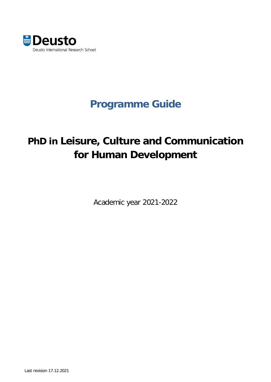

# **Programme Guide**

# **PhD in Leisure, Culture and Communication for Human Development**

Academic year 2021-2022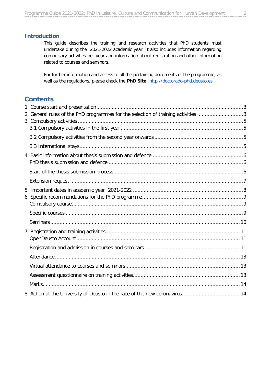#### **Introduction**

This guide describes the training and research activities that PhD students must undertake during the 2021-2022 academic year. It also includes information regarding compulsory activities per year and information about registration and other information related to courses and seminars.

For further information and access to all the pertaining documents of the programme, as well as the regulations, please check the PhD Site: [http://doctorado-phd.deusto.es](http://doctorado-phd.deusto.es/)

# **Contents**

<span id="page-1-0"></span>

| 2. General rules of the PhD programmes for the selection of training activities 3 |  |
|-----------------------------------------------------------------------------------|--|
|                                                                                   |  |
|                                                                                   |  |
|                                                                                   |  |
|                                                                                   |  |
|                                                                                   |  |
|                                                                                   |  |
|                                                                                   |  |
|                                                                                   |  |
|                                                                                   |  |
|                                                                                   |  |
|                                                                                   |  |
|                                                                                   |  |
|                                                                                   |  |
|                                                                                   |  |
|                                                                                   |  |
|                                                                                   |  |
|                                                                                   |  |
|                                                                                   |  |
|                                                                                   |  |
|                                                                                   |  |
|                                                                                   |  |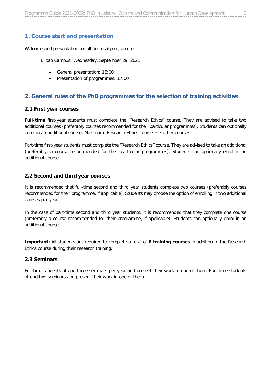# **1. Course start and presentation**

Welcome and presentation for all doctoral programmes:

Bilbao Campus: Wednesday, September 29, 2021

- General presentation: 16:00
- Presentation of programmes: 17:00

#### <span id="page-2-0"></span>**2. General rules of the PhD programmes for the selection of training activities**

#### **2.1 First year courses**

**Full-time** first-year students must complete the "Research Ethics" course. They are advised to take two additional courses (preferably courses recommended for their particular programmes). Students can optionally enrol in an additional course. Maximum: Research Ethics course + 3 other courses

Part-time first-year students must complete the "Research Ethics" course. They are advised to take an additional (preferably, a course recommended for their particular programmes). Students can optionally enrol in an additional course.

#### **2.2 Second and third year courses**

It is recommended that full-time second and third year students complete two courses (preferably courses recommended for their programme, if applicable). Students may choose the option of enrolling in two additional courses per year.

In the case of part-time second and third year students, it is recommended that they complete one course (preferably a course recommended for their programme, if applicable). Students can optionally enrol in an additional course.

**Important:** All students are required to complete a total of **6 training courses** in addition to the Research Ethics course during their research training.

#### **2.3 Seminars**

Full-time students attend three seminars per year and present their work in one of them. Part-time students attend two seminars and present their work in one of them.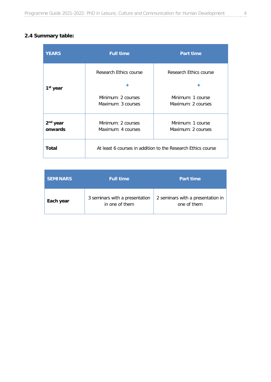# **2.4 Summary table:**

| <b>YEARS</b>         | <b>Full time</b>       | <b>Part time</b>                                             |  |
|----------------------|------------------------|--------------------------------------------------------------|--|
|                      | Research Ethics course | Research Ethics course                                       |  |
| 1 <sup>st</sup> year | ÷                      | ÷                                                            |  |
|                      | Minimum: 2 courses     | Minimum: 1 course                                            |  |
|                      | Maximum: 3 courses     | Maximum: 2 courses                                           |  |
| 2 <sup>nd</sup> year | Minimum: 2 courses     | Minimum: 1 course                                            |  |
| onwards              | Maximum: 4 courses     | Maximum: 2 courses                                           |  |
| Total                |                        | At least 6 courses in addition to the Research Ethics course |  |

| <b>SEMINARS</b> | <b>Full time</b>                                 | <b>Part time</b>                                 |
|-----------------|--------------------------------------------------|--------------------------------------------------|
| Each year       | 3 seminars with a presentation<br>in one of them | 2 seminars with a presentation in<br>one of them |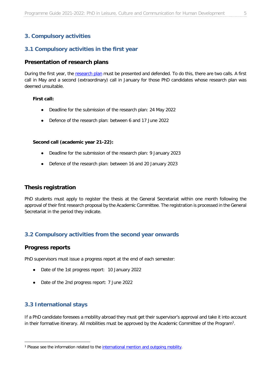# <span id="page-4-0"></span>**3. Compulsory activities**

#### <span id="page-4-1"></span>**3.1 Compulsory activities in the first year**

#### **Presentation of research plans**

During the first year, the [research plan](https://drive.google.com/file/d/0B84HmEpi2vZWT2lUbmpwWTAwQ00/view?resourcekey=0-8HskCiQMqrMTJ1ftBhc3wQ) must be presented and defended. To do this, there are two calls. A first call in May and a second (extraordinary) call in January for those PhD candidates whose research plan was deemed unsuitable.

#### **First call:**

- Deadline for the submission of the research plan: 24 May 2022
- Defence of the research plan: between 6 and 17 June 2022

#### **Second call (academic year 21-22):**

- Deadline for the submission of the research plan: 9 January 2023
- Defence of the research plan: between 16 and 20 January 2023

#### **Thesis registration**

PhD students must apply to register the thesis at the General Secretariat within one month following the approval of their first research proposal by the Academic Committee. The registration is processed in the General Secretariat in the period they indicate.

#### <span id="page-4-2"></span>**3.2 Compulsory activities from the second year onwards**

#### **Progress reports**

PhD supervisors must issue a progress report at the end of each semester:

- Date of the 1st progress report: 10 January 2022
- Date of the 2nd progress report: 7 June 2022

#### <span id="page-4-3"></span>**3.3 International stays**

If a PhD candidate foresees a mobility abroad they must get their supervisor's approval and take it into account in their formative itinerary. All mobilities must be approved by the Academic Committee of the Program[1](#page-4-4).

<span id="page-4-4"></span><sup>&</sup>lt;sup>1</sup> Please see the information related to the [international mention and outgoing mobility.](https://sites.google.com/a/deusto.es/doctorado-phd/general-information#TOC-Internationalization)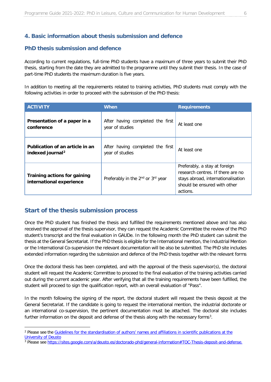# <span id="page-5-0"></span>**4. Basic information about thesis submission and defence**

#### <span id="page-5-1"></span>**PhD thesis submission and defence**

According to current regulations, full-time PhD students have a maximum of three years to submit their PhD thesis, starting from the date they are admitted to the programme until they submit their thesis. In the case of part-time PhD students the maximum duration is five years.

In addition to meeting all the requirements related to training activities, PhD students must comply with the following activities in order to proceed with the submission of the PhD thesis:

| <b>ACTIVITY</b>                                                 | <b>When</b>                                               | <b>Requirements</b>                                                                                                                                  |
|-----------------------------------------------------------------|-----------------------------------------------------------|------------------------------------------------------------------------------------------------------------------------------------------------------|
| Presentation of a paper in a<br>conference                      | After having completed the first<br>year of studies       | At least one                                                                                                                                         |
| Publication of an article in an<br>indexed journal <sup>2</sup> | After having completed the first<br>year of studies       | At least one                                                                                                                                         |
| Training actions for gaining<br>international experience        | Preferably in the 2 <sup>nd</sup> or 3 <sup>rd</sup> year | Preferably, a stay at foreign<br>research centres. If there are no<br>stays abroad, internationalisation<br>should be ensured with other<br>actions. |

#### <span id="page-5-2"></span>**Start of the thesis submission process**

Once the PhD student has finished the thesis and fulfilled the requirements mentioned above and has also received the approval of the thesis supervisor, they can request the Academic Committee the review of the PhD student's transcript and the final evaluation in GAUDe. In the following month the PhD student can submit the thesis at the General Secretariat. If the PhD thesis is eligible for the International mention, the Industrial Mention or the International Co-supervision the relevant documentation will be also be submitted. The PhD site includes extended information regarding the submission and defence of the PhD thesis together with the relevant forms

Once the doctoral thesis has been completed, and with the approval of the thesis supervisor(s), the doctoral student will request the Academic Committee to proceed to the final evaluation of the training activities carried out during the current academic year. After verifying that all the training requirements have been fulfilled, the student will proceed to sign the qualification report, with an overall evaluation of "Pass".

In the month following the signing of the report, the doctoral student will request the thesis deposit at the General Secretariat. If the candidate is going to request the international mention, the industrial doctorate or an international co-supervision, the pertinent documentation must be attached. The doctoral site includes further information on the deposit and defense of the thesis along with the necessary forms<sup>3</sup>.

<span id="page-5-3"></span><sup>&</sup>lt;sup>2</sup> Please see the Guidelines for the standardisation of authors' names and affiliations in scientific publications at the [University of Deusto](https://drive.google.com/file/d/0B84HmEpi2vZWUkpFbmxPZnZlMnc/view?usp=sharing)

<span id="page-5-4"></span><sup>3</sup> Please see [https://sites.google.com/a/deusto.es/doctorado-phd/general-information#TOC-Thesis-deposit-and-defense.](https://sites.google.com/a/deusto.es/doctorado-phd/general-information#TOC-Thesis-deposit-and-defense)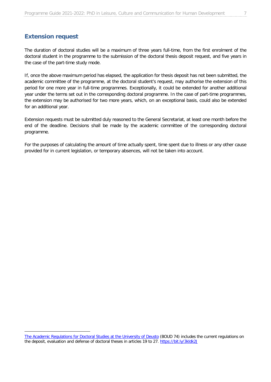# <span id="page-6-0"></span>**Extension request**

-

The duration of doctoral studies will be a maximum of three years full-time, from the first enrolment of the doctoral student in the programme to the submission of the doctoral thesis deposit request, and five years in the case of the part-time study mode.

If, once the above maximum period has elapsed, the application for thesis deposit has not been submitted, the academic committee of the programme, at the doctoral student's request, may authorise the extension of this period for one more year in full-time programmes. Exceptionally, it could be extended for another additional year under the terms set out in the corresponding doctoral programme. In the case of part-time programmes, the extension may be authorised for two more years, which, on an exceptional basis, could also be extended for an additional year.

Extension requests must be submitted duly reasoned to the General Secretariat, at least one month before the end of the deadline. Decisions shall be made by the academic committee of the corresponding doctoral programme.

For the purposes of calculating the amount of time actually spent, time spent due to illness or any other cause provided for in current legislation, or temporary absences, will not be taken into account.

[The Academic Regulations for Doctoral Studies at the University of Deusto](https://drive.google.com/file/d/1-E0EfGz63qGY0Ni80iv89s4IGRfV2Ofc/view) (BOUD 74) includes the current regulations on the deposit, evaluation and defense of doctoral theses in articles 19 to 27. https://bit.ly/3kldk2J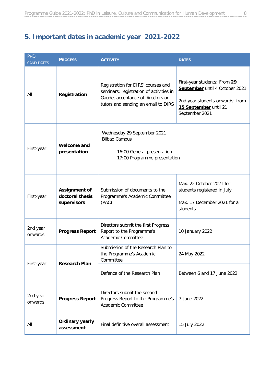# <span id="page-7-0"></span>**5. Important dates in academic year 2021-2022**

| PHD<br><b>CANDIDATES</b> | <b>PROCESS</b>                                         | <b>ACTIVITY</b>                                                                                                                                                                                                                                                                                           | <b>DATES</b>                                                                                         |
|--------------------------|--------------------------------------------------------|-----------------------------------------------------------------------------------------------------------------------------------------------------------------------------------------------------------------------------------------------------------------------------------------------------------|------------------------------------------------------------------------------------------------------|
| All                      | Registration                                           | First-year students: From 29<br>Registration for DIRS' courses and<br>September until 4 October 2021<br>seminars: registration of activities in<br>Gaude, acceptance of directors or<br>2nd year students onwards: from<br>tutors and sending an email to DIRS<br>15 September until 21<br>September 2021 |                                                                                                      |
| First-year               | <b>Welcome and</b><br>presentation                     | Wednesday 29 September 2021<br><b>Bilbao Campus</b><br>16:00 General presentation<br>17:00 Programme presentation                                                                                                                                                                                         |                                                                                                      |
| First-year               | <b>Assignment of</b><br>doctoral thesis<br>supervisors | Submission of documents to the<br>Programme's Academic Committee<br>(PAC)                                                                                                                                                                                                                                 | Max. 22 October 2021 for<br>students registered in July<br>Max. 17 December 2021 for all<br>students |
| 2nd year<br>onwards      | <b>Progress Report</b>                                 | Directors submit the first Progress<br>Report to the Programme's<br>Academic Committee                                                                                                                                                                                                                    | 10 January 2022                                                                                      |
|                          | <b>Research Plan</b>                                   | Submission of the Research Plan to<br>the Programme's Academic<br>Committee                                                                                                                                                                                                                               | 24 May 2022                                                                                          |
| First-year               |                                                        | Defence of the Research Plan                                                                                                                                                                                                                                                                              | Between 6 and 17 June 2022                                                                           |
| 2nd year<br>onwards      | <b>Progress Report</b>                                 | Directors submit the second<br>Progress Report to the Programme's<br>Academic Committee                                                                                                                                                                                                                   | 7 June 2022                                                                                          |
| All                      | <b>Ordinary yearly</b><br>assessment                   | Final definitive overall assessment                                                                                                                                                                                                                                                                       | 15 July 2022                                                                                         |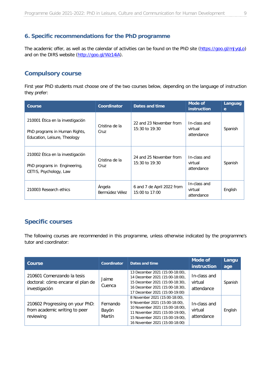# <span id="page-8-0"></span>**6. Specific recommendations for the PhD programme**

The academic offer, as well as the calendar of activities can be found on the PhD site [\(https://goo.gl/mJyqLo\)](https://goo.gl/mJyqLo) and on the DIRS website [\(http://goo.gl/Wz14iA\)](http://goo.gl/Wz14iA).

# <span id="page-8-1"></span>**Compulsory course**

First year PhD students must choose one of the two courses below, depending on the language of instruction they prefer:

| Course                                                                                            | <b>Coordinator</b>       | Dates and time                               | Mode of<br><i>instruction</i>         | <b>Languag</b><br>e |
|---------------------------------------------------------------------------------------------------|--------------------------|----------------------------------------------|---------------------------------------|---------------------|
| 210001 Ética en la investigación<br>PhD programs in Human Rights,<br>Education, Leisure, Theology | Cristina de la<br>Cruz   | 22 and 23 November from<br>15:30 to 19:30    | In-class and<br>virtual<br>attendance | Spanish             |
| 210002 Ética en la investigación<br>PhD programs in Engineering,<br>CETIS, Psychology, Law        | Cristina de la<br>Cruz   | 24 and 25 November from<br>15:30 to 19:30    | In-class and<br>virtual<br>attendance | Spanish             |
| 210003 Research ethics                                                                            | Ángela<br>Bermúdez Vélez | 6 and 7 de April 2022 from<br>15:00 to 17:00 | In-class and<br>virtual<br>attendance | English             |

# <span id="page-8-2"></span>**Specific courses**

The following courses are recommended in this programme, unless otherwise indicated by the programme's tutor and coordinator:

| Course                                                                           | Coordinator                 | Dates and time                                                                                                                                                                                              | Mode of<br><i>instruction</i>         | Langu<br>age |
|----------------------------------------------------------------------------------|-----------------------------|-------------------------------------------------------------------------------------------------------------------------------------------------------------------------------------------------------------|---------------------------------------|--------------|
| 210601 Comenzando la tesis<br>doctoral: cómo encarar el plan de<br>investigación | Jaime<br>Cuenca             | 13 December 2021 (15:00-18:00),<br>14 December 2021 (15:00-18:00),<br>15 December 2021 (15:00-18:30),<br>16 December 2021 (15:00-18:30),<br>17 December 2021 (15:00-19:00)                                  | In-class and<br>virtual<br>attendance | Spanish      |
| 210602 Progressing on your PhD:<br>from academic writing to peer<br>reviewing    | Fernando<br>Bayón<br>Martín | 8 November 2021 (15:00-18:00),<br>9 November 2021 (15:00-18:00),<br>10 November 2021 (15:00-18:00),<br>11 November 2021 (15:00-19:00),<br>15 November 2021 (15:00-19:00),<br>16 November 2021 (15:00-18:00) | In-class and<br>virtual<br>attendance | English      |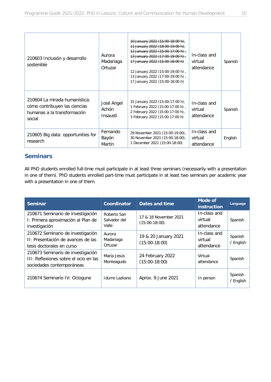| 210603 Inclusión y desarrollo<br>sostenible                                                             | Aurora<br>Madariaga<br>Ortuzar  | $10$ January 2022 (15:00-18:00 h),<br>11 January 2022 (18:00-19:00 h),<br>$12$ January 2022 (15:00-17:00 h)<br>13 January 2022 (17:00-19:00 h)<br>17 January 2022 (15:00-18:00 h)<br>12 January 2022 (15:00-19:00 h),<br>13 January 2022 (17:00-19:00 h),<br>17 January 2022 (15:00-18:00 h) | In-class and<br>virtual<br>attendance | Spanish |
|---------------------------------------------------------------------------------------------------------|---------------------------------|----------------------------------------------------------------------------------------------------------------------------------------------------------------------------------------------------------------------------------------------------------------------------------------------|---------------------------------------|---------|
| 210604 La mirada humanística:<br>cómo contribuyen las ciencias<br>humanas a la transformación<br>social | José Angel<br>Achón<br>Insausti | 31 January 2022 (15:00-17:00 h),<br>1 February 2022 (15:00-17:00 h),<br>2 February 2022 (15:00-17:00 h),<br>3 February 2022 (15:00-17:00 h)                                                                                                                                                  | In-class and<br>virtual<br>attendance | Spanish |
| 210605 Big data: opportunities for<br>research                                                          | Fernando<br>Bayón<br>Martín     | 29 November 2021 (15:00-19:00),<br>30 November 2021 (15:00-18:00),<br>1 December 2021 (15:00-18:00)                                                                                                                                                                                          | In-class and<br>virtual<br>attendance | English |

# <span id="page-9-0"></span>**Seminars**

All PhD students enrolled full-time must participate in at least three seminars (necessarily with a presentation in one of them). PhD students enrolled part-time must participate in at least two seminars per academic year with a presentation in one of them.

| <b>Seminar</b>                                                                                          | Coordinator                          | <b>Dates and time</b>                    | <b>Mode of</b><br><i>instruction</i>  | Language             |
|---------------------------------------------------------------------------------------------------------|--------------------------------------|------------------------------------------|---------------------------------------|----------------------|
| 210671 Seminario de investigación<br>I: Primera aproximación al Plan de<br>investigación                | Roberto San<br>Salvador del<br>Valle | 17 & 18 November 2021<br>$(15:00-18:00)$ | In-class and<br>virtual<br>attendance | Spanish              |
| 210672 Seminario de investigación<br>II: Presentación de avances de las<br>tesis doctorales en curso    | Aurora<br>Madariaga<br>Ortuzar       | 19 & 20 January 2021<br>$(15:00-18:00)$  | In-class and<br>virtual<br>attendance | Spanish<br>/ English |
| 210673 Seminario de investigación<br>III: Reflexiones sobre el ocio en las<br>sociedades contemporáneas | María Jesús<br>Monteagudo            | 24 February 2022<br>$(15:00-18:00)$      | Virtual<br>attendance                 | Spanish              |
| 210674 Seminario IV: Ociogune                                                                           | Idurre Lazkano                       | Aprox. 9 June 2021                       | In person                             | Spanish<br>/ English |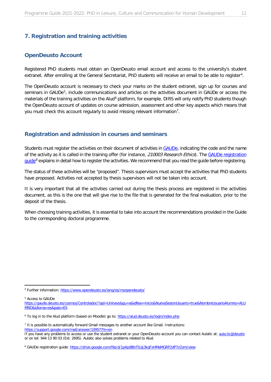### <span id="page-10-0"></span>**7. Registration and training activities**

#### <span id="page-10-1"></span>**OpenDeusto Account**

Registered PhD students must obtain an OpenDeusto email account and access to the university's student extranet. After enrolling at the General Secretariat, PhD students will receive an email to be able to register[4](#page-10-3).

The OpenDeusto account is necessary to check your marks on the student extranet, sign up for courses and seminars in GAUDe<sup>5</sup>, include communications and articles on the activities document in GAUDe or access the materials of the training activities on the Alud<sup>[6](#page-10-5)</sup> platform, for example. DIRS will only notify PhD students though the OpenDeusto account of updates on course admission, assessment and other key aspects which means that you must check this account regularly to avoid missing relevant information[7.](#page-10-6)

#### <span id="page-10-2"></span>**Registration and admission in courses and seminars**

Students must register the activities on their document of activities i[n GAUDe,](https://gaude.deusto.es/cosmos/Controlador/?apl=Uninavs&gu=a&idNav=inicio&NuevaSesionUsuario=true&NombreUsuarioAlumno=ALUMNO&idioma=es&pais=ES) indicating the code and the name of the activity as it is called in the training offer (for instance, 210003 Research Ethics). The GAUDe registration [guide](https://drive.google.com/file/d/1pAjsBBnTlLbj3kqFxHMeMGRP2dP7cOzm/view)<sup>[8](#page-10-7)</sup> explains in detail how to register the activities. We recommend that you read the guide before registering.

The status of these activities will be "proposed". Thesis supervisors must accept the activities that PhD students have proposed. Activities not accepted by thesis supervisors will not be taken into account.

It is very important that all the activities carried out during the thesis process are registered in the activities document, as this is the one that will give rise to the file that is generated for the final evaluation, prior to the deposit of the thesis.

When choosing training activities, it is essential to take into account the recommendations provided in the Guide to the corresponding doctoral programme.

<span id="page-10-4"></span><sup>5</sup> Access to GAUDe

<span id="page-10-3"></span> <sup>4</sup> Further information:<https://www.opendeusto.es/lang/es/myopendeusto/>

[https://gaude.deusto.es/cosmos/Controlador/?apl=Uninavs&gu=a&idNav=inicio&NuevaSesionUsuario=true&NombreUsuarioAlumno=ALU](https://gaude.deusto.es/cosmos/Controlador/?apl=Uninavs&gu=a&idNav=inicio&NuevaSesionUsuario=true&NombreUsuarioAlumno=ALUMNO&idioma=es&pais=ES) [MNO&idioma=es&pais=ES](https://gaude.deusto.es/cosmos/Controlador/?apl=Uninavs&gu=a&idNav=inicio&NuevaSesionUsuario=true&NombreUsuarioAlumno=ALUMNO&idioma=es&pais=ES)

<span id="page-10-5"></span><sup>&</sup>lt;sup>6</sup> To log in to the Alud platform (based on Moodle) go to:<https://alud.deusto.es/login/index.php>

<span id="page-10-6"></span><sup>7</sup> It is possible to automatically forward Gmail messages to another account like Gmail. Instructions: <https://support.google.com/mail/answer/10957?hl=en>

If you have any problems to access or use the student extranet or your OpenDeusto account you can contact Aulatic at: [aula.tic@deusto](about:blank) or on tel: 944 13 90 03 (Ext. 2695). Aulatic also solves problems related to Alud.

<span id="page-10-7"></span><sup>&</sup>lt;sup>8</sup> GAUDe registration guide:<https://drive.google.com/file/d/1pAjsBBnTlLbj3kqFxHMeMGRP2dP7cOzm/view>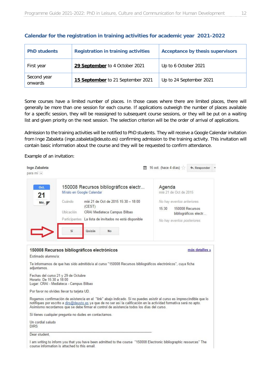| <b>PhD students</b>    | <b>Registration in training activities</b> | <b>Acceptance by thesis supervisors</b> |
|------------------------|--------------------------------------------|-----------------------------------------|
| First year             | 29 September to 4 October 2021             | Up to 6 October 2021                    |
| Second year<br>onwards | 15 September to 21 September 2021          | Up to 24 September 2021                 |

#### **Calendar for the registration in training activities for academic year 2021-2022**

Some courses have a limited number of places. In those cases where there are limited places, there will generally be more than one session for each course. If applications outweigh the number of places available for a specific session, they will be reassigned to subsequent course sessions, or they will be put on a waiting list and given priority on the next session. The selection criterion will be the order of arrival of applications.

Admission to the training activities will be notified to PhD students. They will receive a Google Calendar invitation from Inge Zabaleta (inge.zabaleta@deusto.es) confirming admission to the training activity. This invitation will contain basic information about the course and they will be requested to confirm attendance.

Example of an invitation:

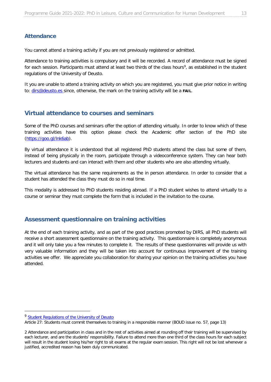# <span id="page-12-0"></span>**Attendance**

You cannot attend a training activity if you are not previously registered or admitted.

Attendance to training activities is compulsory and it will be recorded. A record of attendance must be signed for each session. Participants must attend at least two thirds of the class hours<sup>9</sup>, as established in the student regulations of the University of Deusto.

It you are unable to attend a training activity on which you are registered, you must give prior notice in writing to: [dirs@deusto.es](mailto:dirs@deusto.es) since, otherwise, the mark on the training activity will be a **FAIL**.

# <span id="page-12-1"></span>**Virtual attendance to courses and seminars**

Some of the PhD courses and seminars offer the option of attending virtually. In order to know which of these training activities have this option please check the Academic offer section of the PhD site [\(https://goo.gl/lnk6ab\)](https://goo.gl/lnk6ab).

By virtual attendance it is understood that all registered PhD students attend the class but some of them, instead of being physically in the room, participate through a videoconference system. They can hear both lecturers and students and can interact with them and other students who are also attending virtually.

The virtual attendance has the same requirements as the in person attendance. In order to consider that a student has attended the class they must do so in real time.

This modality is addressed to PhD students residing abroad. If a PhD student wishes to attend virtually to a course or seminar they must complete the form that is included in the invitation to the course.

# <span id="page-12-2"></span>**Assessment questionnaire on training activities**

At the end of each training activity, and as part of the good practices promoted by DIRS, all PhD students will receive a short assessment questionnaire on the training activity. This questionnaire is completely anonymous and it will only take you a few minutes to complete it. The results of these questionnaires will provide us with very valuable information and they will be taken into account for continuous improvement of the training activities we offer. We appreciate you collaboration for sharing your opinion on the training activities you have attended.

<span id="page-12-3"></span><sup>&</sup>lt;sup>9</sup> [Student Regulations of the University of Deusto](http://www.estudiantes.deusto.es/cs/Satellite?blobcol=urldata&blobheader=application%2Fpdf&blobheadername1=Expires&blobheadername2=content-type&blobheadername3=MDT-Type&blobheadername4=Content-Disposition&blobheadervalue1=Thu%2C+10+Dec+2020+16%3A00%3A00+GMT&blobheadervalue2=application%2Fpdf&blobheadervalue3=abinary%3Bcharset%3DUTF-8&blobheadervalue4=inline%3Bfilename%3D%22Reglamento+de+Estudiantes+UD+%28BOUD+57.pdf%22&blobkey=id&blobtable=MungoBlobs&blobwhere=1344388647817&ssbinary=true)

Article 27: Students must commit themselves to training in a responsible manner (BOUD issue no. 57, page 13)

<sup>2</sup> Attendance and participation in class and in the rest of activities aimed at rounding off their training will be supervised by each lecturer, and are the students' responsibility. Failure to attend more than one third of the class hours for each subject will result in the student losing his/her right to sit exams at the regular exam session. This right will not be lost whenever a justified, accredited reason has been duly communicated.